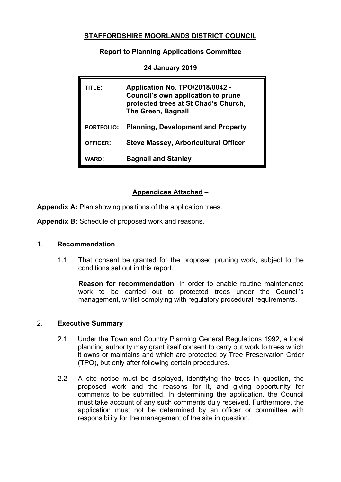## **STAFFORDSHIRE MOORLANDS DISTRICT COUNCIL**

### **Report to Planning Applications Committee**

| <b>TITLE:</b>     | Application No. TPO/2018/0042 -<br>Council's own application to prune<br>protected trees at St Chad's Church,<br>The Green, Bagnall |
|-------------------|-------------------------------------------------------------------------------------------------------------------------------------|
| <b>PORTFOLIO:</b> | <b>Planning, Development and Property</b>                                                                                           |
| <b>OFFICER:</b>   | <b>Steve Massey, Arboricultural Officer</b>                                                                                         |
| <b>WARD:</b>      | <b>Bagnall and Stanley</b>                                                                                                          |

**24 January 2019**

# **Appendices Attached –**

**Appendix A:** Plan showing positions of the application trees.

**Appendix B:** Schedule of proposed work and reasons.

#### 1. **Recommendation**

1.1 That consent be granted for the proposed pruning work, subject to the conditions set out in this report.

**Reason for recommendation**: In order to enable routine maintenance work to be carried out to protected trees under the Council's management, whilst complying with regulatory procedural requirements.

### 2. **Executive Summary**

- 2.1 Under the Town and Country Planning General Regulations 1992, a local planning authority may grant itself consent to carry out work to trees which it owns or maintains and which are protected by Tree Preservation Order (TPO), but only after following certain procedures.
- 2.2 A site notice must be displayed, identifying the trees in question, the proposed work and the reasons for it, and giving opportunity for comments to be submitted. In determining the application, the Council must take account of any such comments duly received. Furthermore, the application must not be determined by an officer or committee with responsibility for the management of the site in question.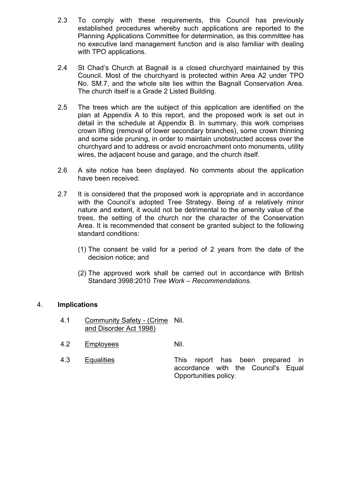- 2.3 To comply with these requirements, this Council has previously established procedures whereby such applications are reported to the Planning Applications Committee for determination, as this committee has no executive land management function and is also familiar with dealing with TPO applications.
- 2.4 St Chad's Church at Bagnall is a closed churchyard maintained by this Council. Most of the churchyard is protected within Area A2 under TPO No. SM.7, and the whole site lies within the Bagnall Conservation Area. The church itself is a Grade 2 Listed Building.
- 2.5 The trees which are the subject of this application are identified on the plan at Appendix A to this report, and the proposed work is set out in detail in the schedule at Appendix B. In summary, this work comprises crown lifting (removal of lower secondary branches), some crown thinning and some side pruning, in order to maintain unobstructed access over the churchyard and to address or avoid encroachment onto monuments, utility wires, the adjacent house and garage, and the church itself.
- 2.6 A site notice has been displayed. No comments about the application have been received.
- 2.7 It is considered that the proposed work is appropriate and in accordance with the Council's adopted Tree Strategy. Being of a relatively minor nature and extent, it would not be detrimental to the amenity value of the trees, the setting of the church nor the character of the Conservation Area. It is recommended that consent be granted subject to the following standard conditions:
	- (1) The consent be valid for a period of 2 years from the date of the decision notice; and
	- (2) The approved work shall be carried out in accordance with British Standard 3998:2010 *Tree Work – Recommendations*.

### 4. **Implications**

- 4.1 Community Safety (Crime Nil. and Disorder Act 1998)
- 4.2 Employees Nil.
- 

4.3 Equalities This report has been prepared in accordance with the Council's Equal Opportunities policy.